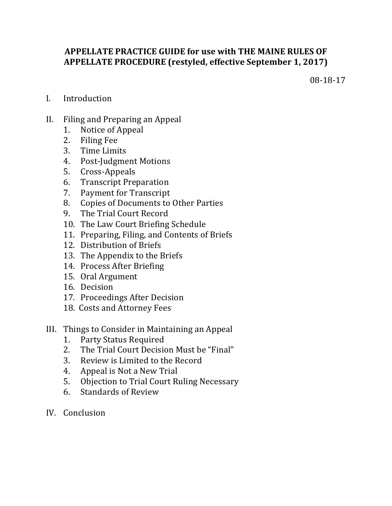# **APPELLATE PRACTICE GUIDE for use with THE MAINE RULES OF APPELLATE PROCEDURE (restyled, effective September 1, 2017)**

08-18-17

- I. Introduction
- II. Filing and Preparing an Appeal
	- 1. Notice of Appeal
	- 2. Filing Fee
	- 3. Time Limits
	- 4. Post-Judgment Motions
	- 5. Cross-Appeals
	- 6. Transcript Preparation
	- 7. Payment for Transcript
	- 8. Copies of Documents to Other Parties
	- 9. The Trial Court Record
	- 10. The Law Court Briefing Schedule
	- 11. Preparing, Filing, and Contents of Briefs
	- 12. Distribution of Briefs
	- 13. The Appendix to the Briefs
	- 14. Process After Briefing
	- 15. Oral Argument
	- 16. Decision
	- 17. Proceedings After Decision
	- 18. Costs and Attorney Fees
- III. Things to Consider in Maintaining an Appeal
	- 1. Party Status Required
	- 2. The Trial Court Decision Must be "Final"
	- 3. Review is Limited to the Record
	- 4. Appeal is Not a New Trial
	- 5. Objection to Trial Court Ruling Necessary
	- 6. Standards of Review
- IV. Conclusion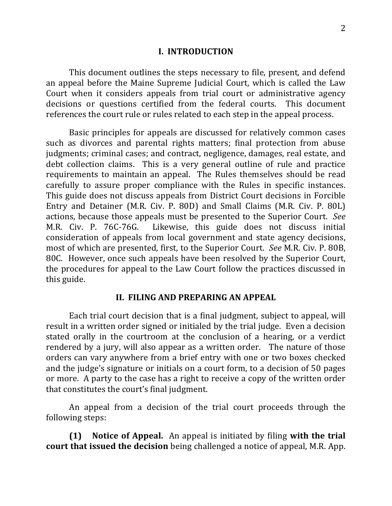### **I. INTRODUCTION**

This document outlines the steps necessary to file, present, and defend an appeal before the Maine Supreme Judicial Court, which is called the Law Court when it considers appeals from trial court or administrative agency decisions or questions certified from the federal courts. This document references the court rule or rules related to each step in the appeal process.

Basic principles for appeals are discussed for relatively common cases such as divorces and parental rights matters; final protection from abuse judgments; criminal cases; and contract, negligence, damages, real estate, and debt collection claims. This is a very general outline of rule and practice requirements to maintain an appeal. The Rules themselves should be read carefully to assure proper compliance with the Rules in specific instances. This guide does not discuss appeals from District Court decisions in Forcible Entry and Detainer (M.R. Civ. P. 80D) and Small Claims (M.R. Civ. P. 80L) actions, because those appeals must be presented to the Superior Court. See M.R. Civ. P. 76C-76G. Likewise, this guide does not discuss initial consideration of appeals from local government and state agency decisions, most of which are presented, first, to the Superior Court. *See* M.R. Civ. P. 80B, 80C. However, once such appeals have been resolved by the Superior Court, the procedures for appeal to the Law Court follow the practices discussed in this guide.

## **II. FILING AND PREPARING AN APPEAL**

Each trial court decision that is a final judgment, subject to appeal, will result in a written order signed or initialed by the trial judge. Even a decision stated orally in the courtroom at the conclusion of a hearing, or a verdict rendered by a jury, will also appear as a written order. The nature of those orders can vary anywhere from a brief entry with one or two boxes checked and the judge's signature or initials on a court form, to a decision of 50 pages or more. A party to the case has a right to receive a copy of the written order that constitutes the court's final judgment.

An appeal from a decision of the trial court proceeds through the following steps:

**(1)** Notice of Appeal. An appeal is initiated by filing with the trial **court that issued the decision** being challenged a notice of appeal, M.R. App.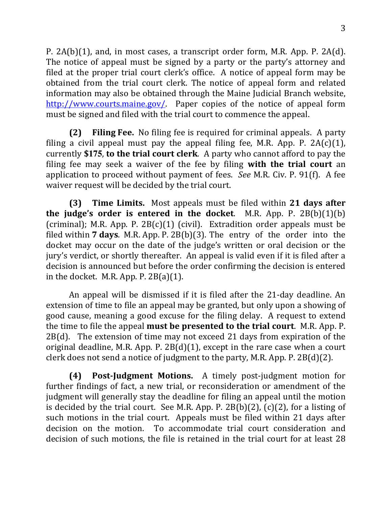P.  $2A(b)(1)$ , and, in most cases, a transcript order form, M.R. App. P.  $2A(d)$ . The notice of appeal must be signed by a party or the party's attorney and filed at the proper trial court clerk's office. A notice of appeal form may be obtained from the trial court clerk. The notice of appeal form and related information may also be obtained through the Maine Judicial Branch website, http://www.courts.maine.gov/. Paper copies of the notice of appeal form must be signed and filed with the trial court to commence the appeal.

**(2) Filing Fee.** No filing fee is required for criminal appeals. A party filing a civil appeal must pay the appeal filing fee, M.R. App. P.  $2A(c)(1)$ , currently \$175, to the trial court clerk. A party who cannot afford to pay the filing fee may seek a waiver of the fee by filing **with the trial court** an application to proceed without payment of fees. *See* M.R. Civ. P. 91(f). A fee waiver request will be decided by the trial court.

**(3) Time Limits.** Most appeals must be filed within 21 days after **the judge's order is entered in the docket.** M.R. App. P.  $2B(b)(1)(b)$ (criminal); M.R. App. P.  $2B(c)(1)$  (civil). Extradition order appeals must be filed within **7 days**. M.R. App. P. 2B(b)(3). The entry of the order into the docket may occur on the date of the judge's written or oral decision or the jury's verdict, or shortly thereafter. An appeal is valid even if it is filed after a decision is announced but before the order confirming the decision is entered in the docket. M.R. App. P.  $2B(a)(1)$ .

An appeal will be dismissed if it is filed after the 21-day deadline. An extension of time to file an appeal may be granted, but only upon a showing of good cause, meaning a good excuse for the filing delay. A request to extend the time to file the appeal **must be presented to the trial court**. M.R. App. P.  $2B(d)$ . The extension of time may not exceed 21 days from expiration of the original deadline, M.R. App. P.  $2B(d)(1)$ , except in the rare case when a court clerk does not send a notice of judgment to the party, M.R. App. P.  $2B(d)(2)$ .

**(4) Post-Judgment Motions.** A timely post-judgment motion for further findings of fact, a new trial, or reconsideration or amendment of the judgment will generally stay the deadline for filing an appeal until the motion is decided by the trial court. See M.R. App. P. 2B(b)(2), (c)(2), for a listing of such motions in the trial court. Appeals must be filed within 21 days after decision on the motion. To accommodate trial court consideration and decision of such motions, the file is retained in the trial court for at least 28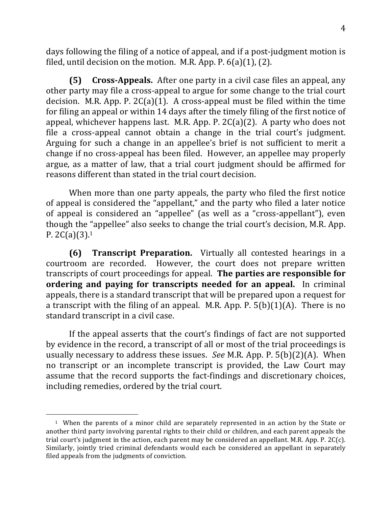days following the filing of a notice of appeal, and if a post-judgment motion is filed, until decision on the motion. M.R. App. P.  $6(a)(1)$ ,  $(2)$ .

**(5) Cross-Appeals.** After one party in a civil case files an appeal, any other party may file a cross-appeal to argue for some change to the trial court decision. M.R. App. P.  $2C(a)(1)$ . A cross-appeal must be filed within the time for filing an appeal or within 14 days after the timely filing of the first notice of appeal, whichever happens last. M.R. App. P.  $2C(a)(2)$ . A party who does not file a cross-appeal cannot obtain a change in the trial court's judgment. Arguing for such a change in an appellee's brief is not sufficient to merit a change if no cross-appeal has been filed. However, an appellee may properly argue, as a matter of law, that a trial court judgment should be affirmed for reasons different than stated in the trial court decision.

When more than one party appeals, the party who filed the first notice of appeal is considered the "appellant," and the party who filed a later notice of appeal is considered an "appellee" (as well as a "cross-appellant"), even though the "appellee" also seeks to change the trial court's decision, M.R. App. P.  $2C(a)(3)$ .<sup>1</sup>

**(6) Transcript Preparation.** Virtually all contested hearings in a courtroom are recorded. However, the court does not prepare written transcripts of court proceedings for appeal. The parties are responsible for **ordering and paying for transcripts needed for an appeal.** In criminal appeals, there is a standard transcript that will be prepared upon a request for a transcript with the filing of an appeal. M.R. App. P.  $5(b)(1)(A)$ . There is no standard transcript in a civil case.

If the appeal asserts that the court's findings of fact are not supported by evidence in the record, a transcript of all or most of the trial proceedings is usually necessary to address these issues. *See* M.R. App. P. 5(b)(2)(A). When no transcript or an incomplete transcript is provided, the Law Court may assume that the record supports the fact-findings and discretionary choices, including remedies, ordered by the trial court.

 $\overline{a}$ 

<sup>&</sup>lt;sup>1</sup> When the parents of a minor child are separately represented in an action by the State or another third party involving parental rights to their child or children, and each parent appeals the trial court's judgment in the action, each parent may be considered an appellant. M.R. App. P. 2C(c). Similarly, jointly tried criminal defendants would each be considered an appellant in separately filed appeals from the judgments of conviction.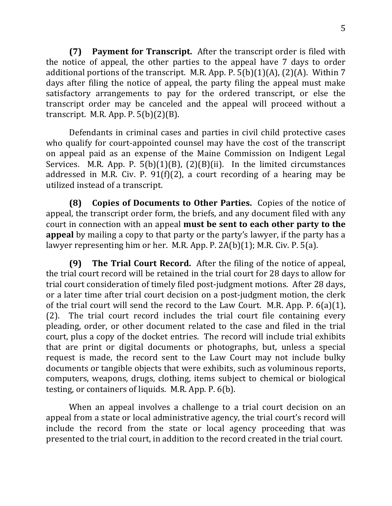**(7) Payment for Transcript.** After the transcript order is filed with the notice of appeal, the other parties to the appeal have  $7$  days to order additional portions of the transcript. M.R. App. P.  $5(b)(1)(A)$ , (2)(A). Within 7 days after filing the notice of appeal, the party filing the appeal must make satisfactory arrangements to pay for the ordered transcript, or else the transcript order may be canceled and the appeal will proceed without a transcript. M.R. App. P.  $5(b)(2)(B)$ .

Defendants in criminal cases and parties in civil child protective cases who qualify for court-appointed counsel may have the cost of the transcript on appeal paid as an expense of the Maine Commission on Indigent Legal Services. M.R. App. P.  $5(b)(1)(B)$ ,  $(2)(B)(ii)$ . In the limited circumstances addressed in M.R. Civ. P. 91(f)(2), a court recording of a hearing may be utilized instead of a transcript.

**(8)** Copies of Documents to Other Parties. Copies of the notice of appeal, the transcript order form, the briefs, and any document filed with any court in connection with an appeal **must be sent to each other party to the appeal** by mailing a copy to that party or the party's lawyer, if the party has a lawyer representing him or her. M.R. App. P.  $2A(b)(1)$ ; M.R. Civ. P.  $5(a)$ .

**(9) The Trial Court Record.** After the filing of the notice of appeal, the trial court record will be retained in the trial court for 28 days to allow for trial court consideration of timely filed post-judgment motions. After 28 days, or a later time after trial court decision on a post-judgment motion, the clerk of the trial court will send the record to the Law Court. M.R. App. P.  $6(a)(1)$ ,  $(2)$ . The trial court record includes the trial court file containing every pleading, order, or other document related to the case and filed in the trial court, plus a copy of the docket entries. The record will include trial exhibits that are print or digital documents or photographs, but, unless a special request is made, the record sent to the Law Court may not include bulky documents or tangible objects that were exhibits, such as voluminous reports, computers, weapons, drugs, clothing, items subject to chemical or biological testing, or containers of liquids. M.R. App. P.  $6(b)$ .

When an appeal involves a challenge to a trial court decision on an appeal from a state or local administrative agency, the trial court's record will include the record from the state or local agency proceeding that was presented to the trial court, in addition to the record created in the trial court.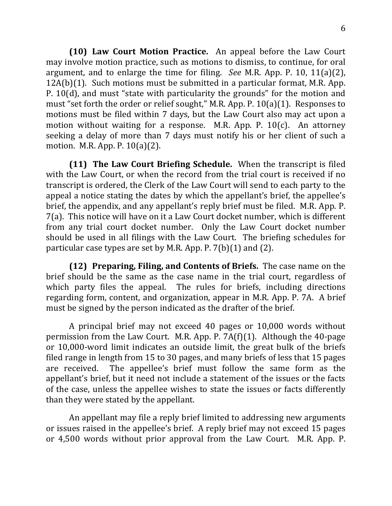**(10) Law Court Motion Practice.** An appeal before the Law Court may involve motion practice, such as motions to dismiss, to continue, for oral argument, and to enlarge the time for filing. *See* M.R. App. P. 10, 11(a)(2),  $12A(b)(1)$ . Such motions must be submitted in a particular format, M.R. App. P. 10(d), and must "state with particularity the grounds" for the motion and must "set forth the order or relief sought," M.R. App. P.  $10(a)(1)$ . Responses to motions must be filed within 7 days, but the Law Court also may act upon a motion without waiting for a response. M.R. App. P.  $10(c)$ . An attorney seeking a delay of more than 7 days must notify his or her client of such a motion. M.R. App. P.  $10(a)(2)$ .

**(11) The Law Court Briefing Schedule.** When the transcript is filed with the Law Court, or when the record from the trial court is received if no transcript is ordered, the Clerk of the Law Court will send to each party to the appeal a notice stating the dates by which the appellant's brief, the appellee's brief, the appendix, and any appellant's reply brief must be filed. M.R. App. P. 7(a). This notice will have on it a Law Court docket number, which is different from any trial court docket number. Only the Law Court docket number should be used in all filings with the Law Court. The briefing schedules for particular case types are set by M.R. App. P.  $7(b)(1)$  and  $(2)$ .

**(12)** Preparing, Filing, and Contents of Briefs. The case name on the brief should be the same as the case name in the trial court, regardless of which party files the appeal. The rules for briefs, including directions regarding form, content, and organization, appear in M.R. App. P. 7A. A brief must be signed by the person indicated as the drafter of the brief.

A principal brief may not exceed 40 pages or 10,000 words without permission from the Law Court. M.R. App. P. 7A(f)(1). Although the  $40$ -page or 10,000-word limit indicates an outside limit, the great bulk of the briefs filed range in length from 15 to 30 pages, and many briefs of less that 15 pages are received. The appellee's brief must follow the same form as the appellant's brief, but it need not include a statement of the issues or the facts of the case, unless the appellee wishes to state the issues or facts differently than they were stated by the appellant.

An appellant may file a reply brief limited to addressing new arguments or issues raised in the appellee's brief. A reply brief may not exceed 15 pages or 4,500 words without prior approval from the Law Court. M.R. App. P.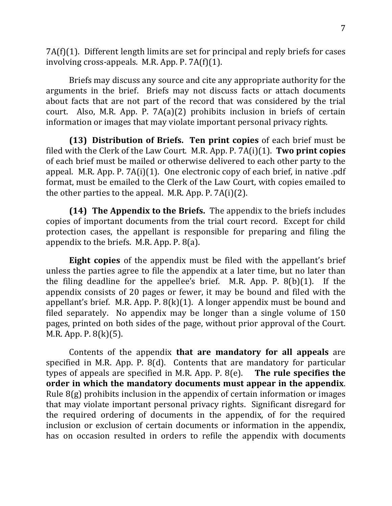$7A(f)(1)$ . Different length limits are set for principal and reply briefs for cases involving cross-appeals. M.R. App. P.  $7A(f)(1)$ .

Briefs may discuss any source and cite any appropriate authority for the arguments in the brief. Briefs may not discuss facts or attach documents about facts that are not part of the record that was considered by the trial court. Also, M.R. App. P.  $7A(a)(2)$  prohibits inclusion in briefs of certain information or images that may violate important personal privacy rights.

**(13)** Distribution of Briefs. Ten print copies of each brief must be filed with the Clerk of the Law Court. M.R. App. P. 7A(i)(1). **Two print copies** of each brief must be mailed or otherwise delivered to each other party to the appeal. M.R. App. P.  $7A(i)(1)$ . One electronic copy of each brief, in native .pdf format, must be emailed to the Clerk of the Law Court, with copies emailed to the other parties to the appeal. M.R. App. P.  $7A(i)(2)$ .

**(14) The Appendix to the Briefs.** The appendix to the briefs includes copies of important documents from the trial court record. Except for child protection cases, the appellant is responsible for preparing and filing the appendix to the briefs. M.R. App.  $P. 8(a)$ .

**Eight copies** of the appendix must be filed with the appellant's brief unless the parties agree to file the appendix at a later time, but no later than the filing deadline for the appellee's brief. M.R. App. P.  $8(b)(1)$ . If the appendix consists of 20 pages or fewer, it may be bound and filed with the appellant's brief. M.R. App. P.  $8(k)(1)$ . A longer appendix must be bound and filed separately. No appendix may be longer than a single volume of  $150$ pages, printed on both sides of the page, without prior approval of the Court. M.R. App. P.  $8(k)(5)$ .

Contents of the appendix **that are mandatory for all appeals** are specified in M.R. App. P.  $8(d)$ . Contents that are mandatory for particular types of appeals are specified in M.R. App. P. 8(e). **The rule specifies the** order in which the mandatory documents must appear in the appendix. Rule  $8(g)$  prohibits inclusion in the appendix of certain information or images that may violate important personal privacy rights. Significant disregard for the required ordering of documents in the appendix, of for the required inclusion or exclusion of certain documents or information in the appendix, has on occasion resulted in orders to refile the appendix with documents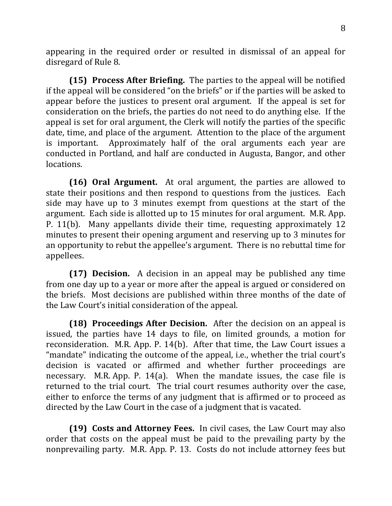appearing in the required order or resulted in dismissal of an appeal for disregard of Rule 8.

**(15) Process After Briefing.** The parties to the appeal will be notified if the appeal will be considered "on the briefs" or if the parties will be asked to appear before the justices to present oral argument. If the appeal is set for consideration on the briefs, the parties do not need to do anything else. If the appeal is set for oral argument, the Clerk will notify the parties of the specific date, time, and place of the argument. Attention to the place of the argument is important. Approximately half of the oral arguments each year are conducted in Portland, and half are conducted in Augusta, Bangor, and other locations. 

**(16) Oral Argument.** At oral argument, the parties are allowed to state their positions and then respond to questions from the justices. Each side may have up to 3 minutes exempt from questions at the start of the argument. Each side is allotted up to 15 minutes for oral argument. M.R. App. P. 11(b). Many appellants divide their time, requesting approximately 12 minutes to present their opening argument and reserving up to 3 minutes for an opportunity to rebut the appellee's argument. There is no rebuttal time for appellees.

**(17) Decision.** A decision in an appeal may be published any time from one day up to a year or more after the appeal is argued or considered on the briefs. Most decisions are published within three months of the date of the Law Court's initial consideration of the appeal.

**(18) Proceedings After Decision.** After the decision on an appeal is issued, the parties have 14 days to file, on limited grounds, a motion for reconsideration. M.R. App. P. 14(b). After that time, the Law Court issues a "mandate" indicating the outcome of the appeal, i.e., whether the trial court's decision is vacated or affirmed and whether further proceedings are necessary. M.R. App. P. 14(a). When the mandate issues, the case file is returned to the trial court. The trial court resumes authority over the case, either to enforce the terms of any judgment that is affirmed or to proceed as directed by the Law Court in the case of a judgment that is vacated.

**(19) Costs and Attorney Fees.** In civil cases, the Law Court may also order that costs on the appeal must be paid to the prevailing party by the nonprevailing party. M.R. App. P. 13. Costs do not include attorney fees but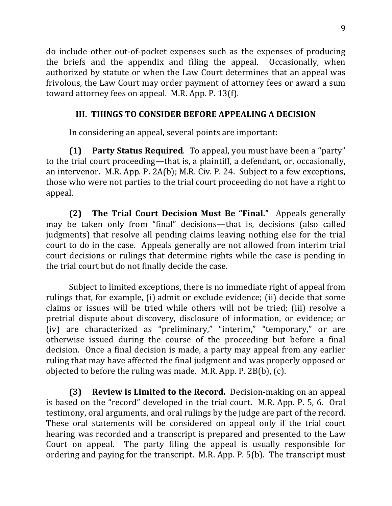do include other out-of-pocket expenses such as the expenses of producing the briefs and the appendix and filing the appeal. Occasionally, when authorized by statute or when the Law Court determines that an appeal was frivolous, the Law Court may order payment of attorney fees or award a sum toward attorney fees on appeal. M.R. App. P. 13(f).

# **III. THINGS TO CONSIDER BEFORE APPEALING A DECISION**

In considering an appeal, several points are important:

**(1) Party Status Required**. To appeal, you must have been a "party" to the trial court proceeding—that is, a plaintiff, a defendant, or, occasionally, an intervenor. M.R. App. P. 2A(b); M.R. Civ. P. 24. Subject to a few exceptions, those who were not parties to the trial court proceeding do not have a right to appeal.

**(2) The Trial Court Decision Must Be "Final."** Appeals generally may be taken only from "final" decisions—that is, decisions (also called judgments) that resolve all pending claims leaving nothing else for the trial court to do in the case. Appeals generally are not allowed from interim trial court decisions or rulings that determine rights while the case is pending in the trial court but do not finally decide the case.

Subject to limited exceptions, there is no immediate right of appeal from rulings that, for example, (i) admit or exclude evidence; (ii) decide that some claims or issues will be tried while others will not be tried; (iii) resolve a pretrial dispute about discovery, disclosure of information, or evidence; or (iv) are characterized as "preliminary," "interim," "temporary," or are otherwise issued during the course of the proceeding but before a final decision. Once a final decision is made, a party may appeal from any earlier ruling that may have affected the final judgment and was properly opposed or objected to before the ruling was made. M.R. App. P.  $2B(b)$ , (c).

**(3) Review is Limited to the Record.** Decision-making on an appeal is based on the "record" developed in the trial court. M.R. App. P. 5, 6. Oral testimony, oral arguments, and oral rulings by the judge are part of the record. These oral statements will be considered on appeal only if the trial court hearing was recorded and a transcript is prepared and presented to the Law Court on appeal. The party filing the appeal is usually responsible for ordering and paying for the transcript. M.R. App. P.  $5(b)$ . The transcript must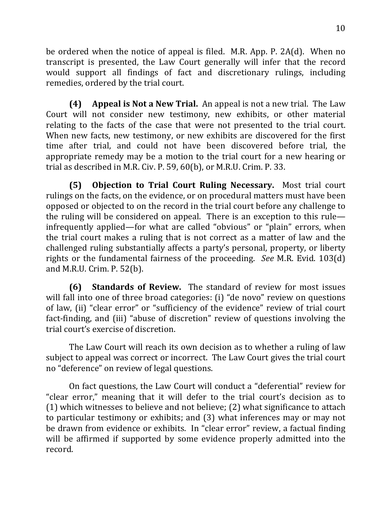be ordered when the notice of appeal is filed. M.R. App. P. 2A(d). When no transcript is presented, the Law Court generally will infer that the record would support all findings of fact and discretionary rulings, including remedies, ordered by the trial court.

**(4) Appeal is Not a New Trial.** An appeal is not a new trial. The Law Court will not consider new testimony, new exhibits, or other material relating to the facts of the case that were not presented to the trial court. When new facts, new testimony, or new exhibits are discovered for the first time after trial, and could not have been discovered before trial, the appropriate remedy may be a motion to the trial court for a new hearing or trial as described in M.R. Civ. P. 59,  $60(b)$ , or M.R.U. Crim. P. 33.

**(5) Objection to Trial Court Ruling Necessary.** Most trial court rulings on the facts, on the evidence, or on procedural matters must have been opposed or objected to on the record in the trial court before any challenge to the ruling will be considered on appeal. There is an exception to this rule infrequently applied—for what are called "obvious" or "plain" errors, when the trial court makes a ruling that is not correct as a matter of law and the challenged ruling substantially affects a party's personal, property, or liberty rights or the fundamental fairness of the proceeding. *See* M.R. Evid. 103(d) and M.R.U. Crim. P. 52(b).

**(6) Standards of Review.** The standard of review for most issues will fall into one of three broad categories: (i) "de novo" review on questions of law, (ii) "clear error" or "sufficiency of the evidence" review of trial court fact-finding, and (iii) "abuse of discretion" review of questions involving the trial court's exercise of discretion.

The Law Court will reach its own decision as to whether a ruling of law subject to appeal was correct or incorrect. The Law Court gives the trial court no "deference" on review of legal questions.

On fact questions, the Law Court will conduct a "deferential" review for "clear error," meaning that it will defer to the trial court's decision as to  $(1)$  which witnesses to believe and not believe;  $(2)$  what significance to attach to particular testimony or exhibits; and (3) what inferences may or may not be drawn from evidence or exhibits. In "clear error" review, a factual finding will be affirmed if supported by some evidence properly admitted into the record.